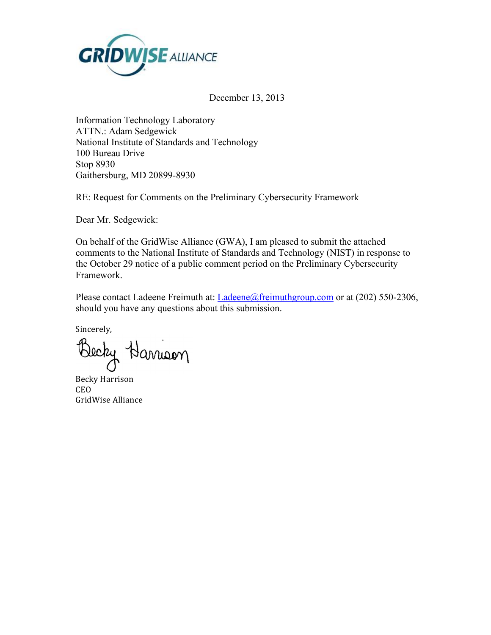

December 13, 2013

Information Technology Laboratory ATTN.: Adam Sedgewick National Institute of Standards and Technology 100 Bureau Drive Stop 8930 Gaithersburg, MD 20899-8930

RE: Request for Comments on the Preliminary Cybersecurity Framework

Dear Mr. Sedgewick:

On behalf of the GridWise Alliance (GWA), I am pleased to submit the attached comments to the National Institute of Standards and Technology (NIST) in response to the October 29 notice of a public comment period on the Preliminary Cybersecurity Framework.

Please contact Ladeene Freimuth at: Ladeene@freimuthgroup.com or at (202) 550-2306, should you have any questions about this submission.

Sincerely,

Becky Harrison

Becky Harrison CEO GridWise Alliance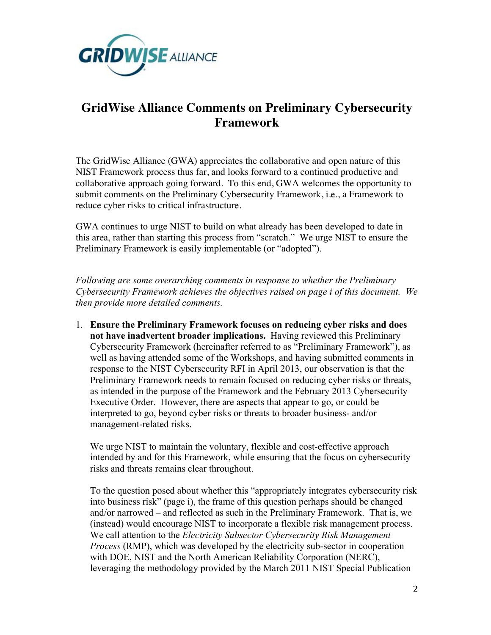

## **GridWise Alliance Comments on Preliminary Cybersecurity Framework**

 collaborative approach going forward. To this end, GWA welcomes the opportunity to The GridWise Alliance (GWA) appreciates the collaborative and open nature of this NIST Framework process thus far, and looks forward to a continued productive and submit comments on the Preliminary Cybersecurity Framework, i.e., a Framework to reduce cyber risks to critical infrastructure.

 this area, rather than starting this process from "scratch." We urge NIST to ensure the GWA continues to urge NIST to build on what already has been developed to date in Preliminary Framework is easily implementable (or "adopted").

 *Following are some overarching comments in response to whether the Preliminary Cybersecurity Framework achieves the objectives raised on page i of this document. We then provide more detailed comments.* 

 **not have inadvertent broader implications.** Having reviewed this Preliminary response to the NIST Cybersecurity RFI in April 2013, our observation is that the Executive Order. However, there are aspects that appear to go, or could be management-related risks. 1. **Ensure the Preliminary Framework focuses on reducing cyber risks and does**  Cybersecurity Framework (hereinafter referred to as "Preliminary Framework"), as well as having attended some of the Workshops, and having submitted comments in Preliminary Framework needs to remain focused on reducing cyber risks or threats, as intended in the purpose of the Framework and the February 2013 Cybersecurity interpreted to go, beyond cyber risks or threats to broader business- and/or

We urge NIST to maintain the voluntary, flexible and cost-effective approach intended by and for this Framework, while ensuring that the focus on cybersecurity risks and threats remains clear throughout.

To the question posed about whether this "appropriately integrates cybersecurity risk into business risk" (page i), the frame of this question perhaps should be changed and/or narrowed – and reflected as such in the Preliminary Framework. That is, we (instead) would encourage NIST to incorporate a flexible risk management process. We call attention to the *Electricity Subsector Cybersecurity Risk Management Process* (RMP), which was developed by the electricity sub-sector in cooperation with DOE, NIST and the North American Reliability Corporation (NERC), leveraging the methodology provided by the March 2011 NIST Special Publication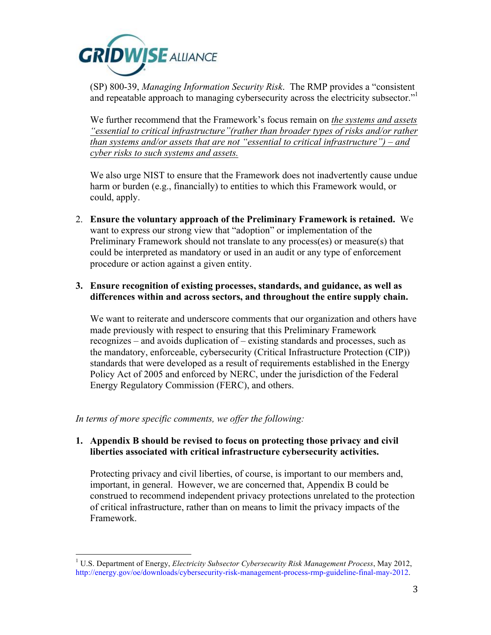

 (SP) 800-39, *Managing Information Security Risk*. The RMP provides a "consistent and repeatable approach to managing cybersecurity across the electricity subsector."<sup>1</sup>

 *than systems and/or assets that are not "essential to critical infrastructure") – and*  We further recommend that the Framework's focus remain on *the systems and assets "essential to critical infrastructure"(rather than broader types of risks and/or rather cyber risks to such systems and assets.* 

We also urge NIST to ensure that the Framework does not inadvertently cause undue harm or burden (e.g., financially) to entities to which this Framework would, or could, apply.

 2. **Ensure the voluntary approach of the Preliminary Framework is retained.** We could be interpreted as mandatory or used in an audit or any type of enforcement want to express our strong view that "adoption" or implementation of the Preliminary Framework should not translate to any process(es) or measure(s) that procedure or action against a given entity.

## **3. Ensure recognition of existing processes, standards, and guidance, as well as differences within and across sectors, and throughout the entire supply chain.**

 recognizes – and avoids duplication of – existing standards and processes, such as We want to reiterate and underscore comments that our organization and others have made previously with respect to ensuring that this Preliminary Framework the mandatory, enforceable, cybersecurity (Critical Infrastructure Protection (CIP)) standards that were developed as a result of requirements established in the Energy Policy Act of 2005 and enforced by NERC, under the jurisdiction of the Federal Energy Regulatory Commission (FERC), and others.

*In terms of more specific comments, we offer the following:* 

## **1. Appendix B should be revised to focus on protecting those privacy and civil liberties associated with critical infrastructure cybersecurity activities.**

 Protecting privacy and civil liberties, of course, is important to our members and, important, in general. However, we are concerned that, Appendix B could be construed to recommend independent privacy protections unrelated to the protection of critical infrastructure, rather than on means to limit the privacy impacts of the Framework.

 1 U.S. Department of Energy, *Electricity Subsector Cybersecurity Risk Management Process*, May 2012, http://energy.gov/oe/downloads/cybersecurity-risk-management-process-rmp-guideline-final-may-2012.